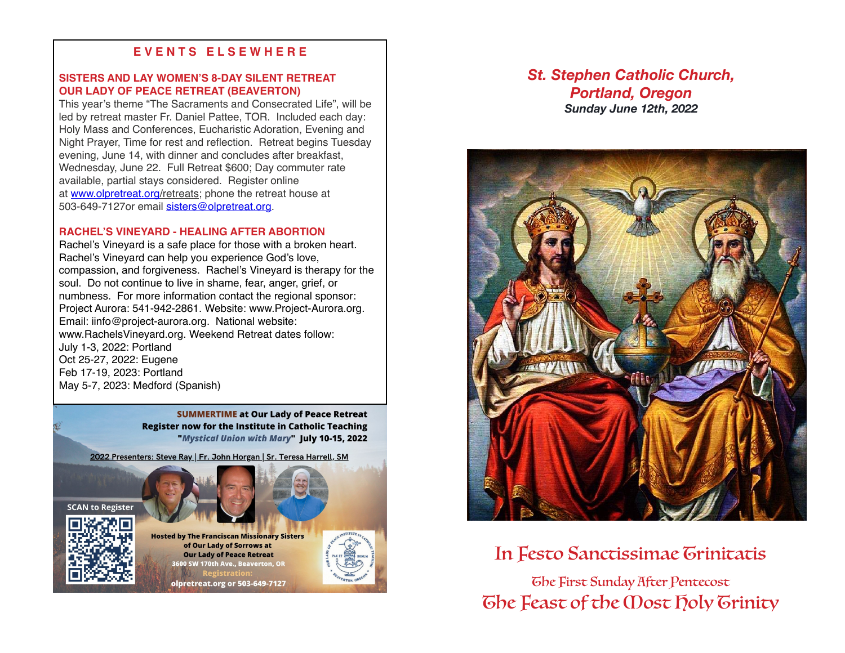# **E V E N T S E L S E W H E R E**

## **SISTERS AND LAY WOMEN'S 8-DAY SILENT RETREAT OUR LADY OF PEACE RETREAT (BEAVERTON)**

This year's theme "The Sacraments and Consecrated Life", will be led by retreat master Fr. Daniel Pattee, TOR. Included each day: Holy Mass and Conferences, Eucharistic Adoration, Evening and Night Prayer, Time for rest and reflection. Retreat begins Tuesday evening, June 14, with dinner and concludes after breakfast, Wednesday, June 22. Full Retreat \$600; Day commuter rate available, partial stays considered. Register online at [www.olpretreat.org/](https://urldefense.proofpoint.com/v2/url?u=http-3A__www.olpretreat.org_&d=DwMFaQ&c=euGZstcaTDllvimEN8b7jXrwqOf-v5A_CdpgnVfiiMM&r=gatXeMoquYrEIGmyLj5Vcv1ccZRJ6x8lLPkH6qHmjxM&m=hkTJCDJUgM6BBd8OsrCVoo_rng3S2yY56_ysTQRtlHU&s=59V4G6aVAQGiAQ1BVQGa7tpMVBboTt4-Zmep-3z0y5s&e=)retreats; phone the retreat house at 503-649-7127or email [sisters@olpretreat.org](mailto:sisters@olpretreat.org).

#### **RACHEL'S VINEYARD - HEALING AFTER ABORTION**

Rachel's Vineyard is a safe place for those with a broken heart. Rachel's Vineyard can help you experience God's love, compassion, and forgiveness. Rachel's Vineyard is therapy for the soul. Do not continue to live in shame, fear, anger, grief, or numbness. For more information contact the regional sponsor: Project Aurora: 541-942-2861. Website: www.Project-Aurora.org. Email: iinfo@project-aurora.org. National website: www.RachelsVineyard.org. Weekend Retreat dates follow: July 1-3, 2022: Portland Oct 25-27, 2022: Eugene Feb 17-19, 2023: Portland May 5-7, 2023: Medford (Spanish)

> **SUMMERTIME at Our Lady of Peace Retreat Register now for the Institute in Catholic Teaching** "Mystical Union with Mary" July 10-15, 2022

2022 Presenters: Steve Ray | Fr. John Horgan | Sr. Teresa Harrell, SM





**Hosted by The Franciscan Missionary Sisters** of Our Lady of Sorrows at **Our Lady of Peace Retreat** 600 SW 170th Ave., Beaverton, OR

olpretreat.org or 503-649-7127





In Festo Sanctissimae Trinitatis

The First Sunday After Pentecost The Feast of the Most Holy Trinity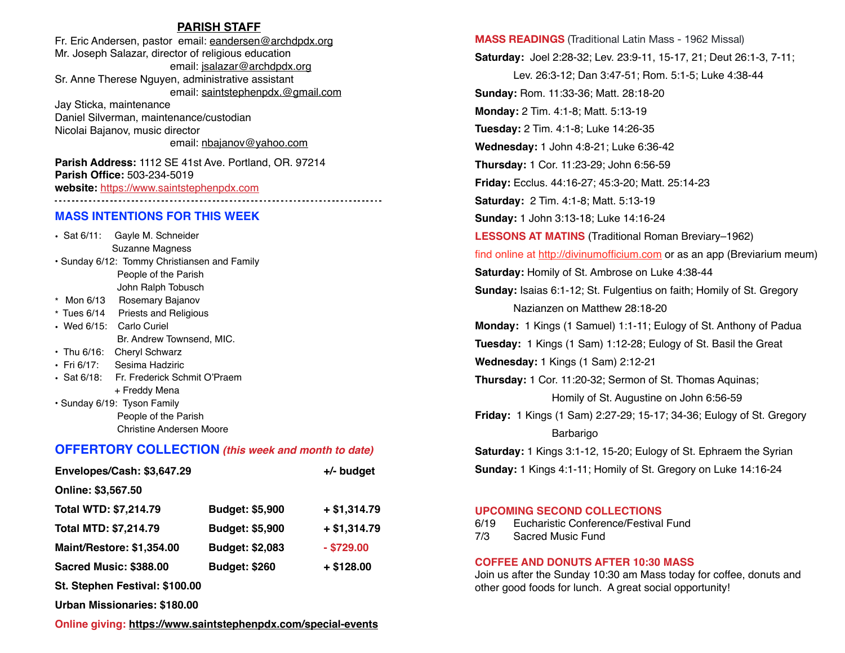### **PARISH STAFF**

Fr. Eric Andersen, pastor email: [eandersen@archdpdx.org](mailto:eandersen@archdpdx.org) Mr. Joseph Salazar, director of religious education email: [jsalazar@archdpdx.org](mailto:jsalazar@archdpdx.org) Sr. Anne Therese Nguyen, administrative assistant email: saintstephenpdx.@[gmail.com](http://gmail.com) Jay Sticka, maintenance Daniel Silverman, maintenance/custodian

Nicolai Bajanov, music director email: [nbajanov@yahoo.com](mailto:nbajanov@yahoo.com)

**Parish Address:** 1112 SE 41st Ave. Portland, OR. 97214 **Parish Office:** 503-234-5019 **website:** <https://www.saintstephenpdx.com> 

### **MASS INTENTIONS FOR THIS WEEK**

• Sat 6/11: Gayle M. Schneider Suzanne Magness • Sunday 6/12: Tommy Christiansen and Family People of the Parish John Ralph Tobusch \* Mon 6/13 Rosemary Bajanov \* Tues 6/14 Priests and Religious • Wed 6/15: Carlo Curiel Br. Andrew Townsend, MIC. • Thu 6/16: Cheryl Schwarz • Fri 6/17: Sesima Hadziric • Sat 6/18: Fr. Frederick Schmit O'Praem + Freddy Mena • Sunday 6/19: Tyson Family People of the Parish Christine Andersen Moore

## **OFFERTORY COLLECTION** *(this week and month to date)*

| Envelopes/Cash: \$3,647.29       |                        | +/- budget    |
|----------------------------------|------------------------|---------------|
| Online: \$3,567.50               |                        |               |
| <b>Total WTD: \$7,214.79</b>     | Budget: \$5,900        | $+ $1,314.79$ |
| <b>Total MTD: \$7,214.79</b>     | <b>Budget: \$5,900</b> | $+ $1,314.79$ |
| <b>Maint/Restore: \$1,354.00</b> | Budget: \$2,083        | $-$ \$729.00  |
| Sacred Music: \$388.00           | <b>Budget: \$260</b>   | $+$ \$128.00  |
| St. Stephen Festival: \$100.00   |                        |               |

**Urban Missionaries: \$180.00**

**Online giving: <https://www.saintstephenpdx.com/special-events>**

**MASS READINGS** (Traditional Latin Mass - 1962 Missal) **Saturday:** Joel 2:28-32; Lev. 23:9-11, 15-17, 21; Deut 26:1-3, 7-11; Lev. 26:3-12; Dan 3:47-51; Rom. 5:1-5; Luke 4:38-44 **Sunday:** Rom. 11:33-36; Matt. 28:18-20 **Monday:** 2 Tim. 4:1-8; Matt. 5:13-19 **Tuesday:** 2 Tim. 4:1-8; Luke 14:26-35 **Wednesday:** 1 John 4:8-21; Luke 6:36-42 **Thursday:** 1 Cor. 11:23-29; John 6:56-59 **Friday:** Ecclus. 44:16-27; 45:3-20; Matt. 25:14-23 **Saturday:** 2 Tim. 4:1-8; Matt. 5:13-19 **Sunday:** 1 John 3:13-18; Luke 14:16-24 **LESSONS AT MATINS** (Traditional Roman Breviary–1962) find online at <http://divinumofficium.com> or as an app (Breviarium meum) **Saturday:** Homily of St. Ambrose on Luke 4:38-44 **Sunday:** Isaias 6:1-12; St. Fulgentius on faith; Homily of St. Gregory Nazianzen on Matthew 28:18-20 **Monday:** 1 Kings (1 Samuel) 1:1-11; Eulogy of St. Anthony of Padua **Tuesday:** 1 Kings (1 Sam) 1:12-28; Eulogy of St. Basil the Great **Wednesday:** 1 Kings (1 Sam) 2:12-21 **Thursday:** 1 Cor. 11:20-32; Sermon of St. Thomas Aquinas; Homily of St. Augustine on John 6:56-59 **Friday:** 1 Kings (1 Sam) 2:27-29; 15-17; 34-36; Eulogy of St. Gregory Barbarigo **Saturday:** 1 Kings 3:1-12, 15-20; Eulogy of St. Ephraem the Syrian **Sunday:** 1 Kings 4:1-11; Homily of St. Gregory on Luke 14:16-24

#### **UPCOMING SECOND COLLECTIONS**

| 6/19 | Eucharistic Conference/Festival Fund |
|------|--------------------------------------|
| 7/3  | Sacred Music Fund                    |

#### **COFFEE AND DONUTS AFTER 10:30 MASS**

Join us after the Sunday 10:30 am Mass today for coffee, donuts and other good foods for lunch. A great social opportunity!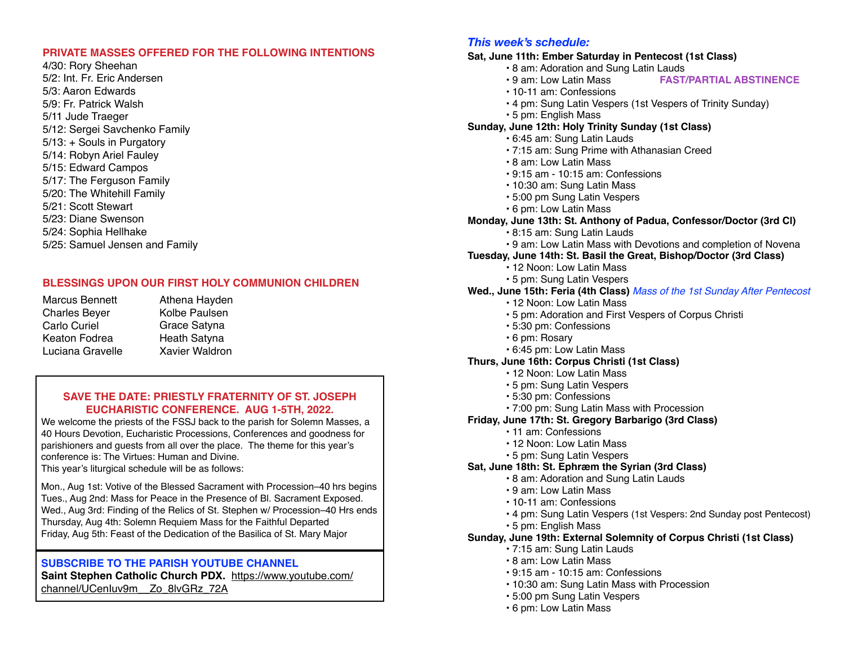### **PRIVATE MASSES OFFERED FOR THE FOLLOWING INTENTIONS**

4/30: Rory Sheehan 5/2: Int. Fr. Eric Andersen 5/3: Aaron Edwards 5/9: Fr. Patrick Walsh 5/11 Jude Traeger 5/12: Sergei Savchenko Family 5/13: + Souls in Purgatory 5/14: Robyn Ariel Fauley 5/15: Edward Campos 5/17: The Ferguson Family 5/20: The Whitehill Family 5/21: Scott Stewart 5/23: Diane Swenson 5/24: Sophia Hellhake 5/25: Samuel Jensen and Family

## **BLESSINGS UPON OUR FIRST HOLY COMMUNION CHILDREN**

Marcus Bennett Charles Beyer Carlo Curiel Keaton Fodrea Luciana Gravelle

Athena Hayden Kolbe Paulsen Grace Satyna Heath Satyna Xavier Waldron

## **SAVE THE DATE: PRIESTLY FRATERNITY OF ST. JOSEPH EUCHARISTIC CONFERENCE. AUG 1-5TH, 2022.**

We welcome the priests of the FSSJ back to the parish for Solemn Masses, a 40 Hours Devotion, Eucharistic Processions, Conferences and goodness for parishioners and guests from all over the place. The theme for this year's conference is: The Virtues: Human and Divine. This year's liturgical schedule will be as follows:

Mon., Aug 1st: Votive of the Blessed Sacrament with Procession–40 hrs begins Tues., Aug 2nd: Mass for Peace in the Presence of Bl. Sacrament Exposed. Wed., Aug 3rd: Finding of the Relics of St. Stephen w/ Procession–40 Hrs ends Thursday, Aug 4th: Solemn Requiem Mass for the Faithful Departed Friday, Aug 5th: Feast of the Dedication of the Basilica of St. Mary Major

## **SUBSCRIBE TO THE PARISH YOUTUBE CHANNEL**

**Saint Stephen Catholic Church PDX.** [https://www.youtube.com/](https://www.youtube.com/channel/UCenIuv9m__Zo_8lvGRz_72A) [channel/UCenIuv9m\\_\\_Zo\\_8lvGRz\\_72A](https://www.youtube.com/channel/UCenIuv9m__Zo_8lvGRz_72A)

# *This week's schedule:*

# **Sat, June 11th: Ember Saturday in Pentecost (1st Class)**

- 8 am: Adoration and Sung Latin Lauds<br>• 9 am: Low Latin Mass<br>• FAST/
	- **FAST/PARTIAL ABSTINENCE**
- 10-11 am: Confessions
- 4 pm: Sung Latin Vespers (1st Vespers of Trinity Sunday)
- 5 pm: English Mass

# **Sunday, June 12th: Holy Trinity Sunday (1st Class)**

- 6:45 am: Sung Latin Lauds
- 7:15 am: Sung Prime with Athanasian Creed
- 8 am: Low Latin Mass
- 9:15 am 10:15 am: Confessions
- 10:30 am: Sung Latin Mass
- 5:00 pm Sung Latin Vespers
- 6 pm: Low Latin Mass
- **Monday, June 13th: St. Anthony of Padua, Confessor/Doctor (3rd Cl)**
	- 8:15 am: Sung Latin Lauds
	- 9 am: Low Latin Mass with Devotions and completion of Novena
- **Tuesday, June 14th: St. Basil the Great, Bishop/Doctor (3rd Class)**
	- 12 Noon: Low Latin Mass
	- 5 pm: Sung Latin Vespers

## **Wed., June 15th: Feria (4th Class)** *Mass of the 1st Sunday After Pentecost*

- 12 Noon: Low Latin Mass
- 5 pm: Adoration and First Vespers of Corpus Christi
- 5:30 pm: Confessions
- 6 pm: Rosary
- 6:45 pm: Low Latin Mass
- **Thurs, June 16th: Corpus Christi (1st Class)**
	- 12 Noon: Low Latin Mass
	- 5 pm: Sung Latin Vespers
	- 5:30 pm: Confessions
	- 7:00 pm: Sung Latin Mass with Procession
- **Friday, June 17th: St. Gregory Barbarigo (3rd Class)**
	- 11 am: Confessions
		- 12 Noon: Low Latin Mass
		- 5 pm: Sung Latin Vespers

### **Sat, June 18th: St. Ephræm the Syrian (3rd Class)**

- 8 am: Adoration and Sung Latin Lauds
- 9 am: Low Latin Mass
- 10-11 am: Confessions
- 4 pm: Sung Latin Vespers (1st Vespers: 2nd Sunday post Pentecost)
- 5 pm: English Mass

### **Sunday, June 19th: External Solemnity of Corpus Christi (1st Class)**

- 7:15 am: Sung Latin Lauds
- 8 am: Low Latin Mass
- 9:15 am 10:15 am: Confessions
- 10:30 am: Sung Latin Mass with Procession
- 5:00 pm Sung Latin Vespers
- 6 pm: Low Latin Mass